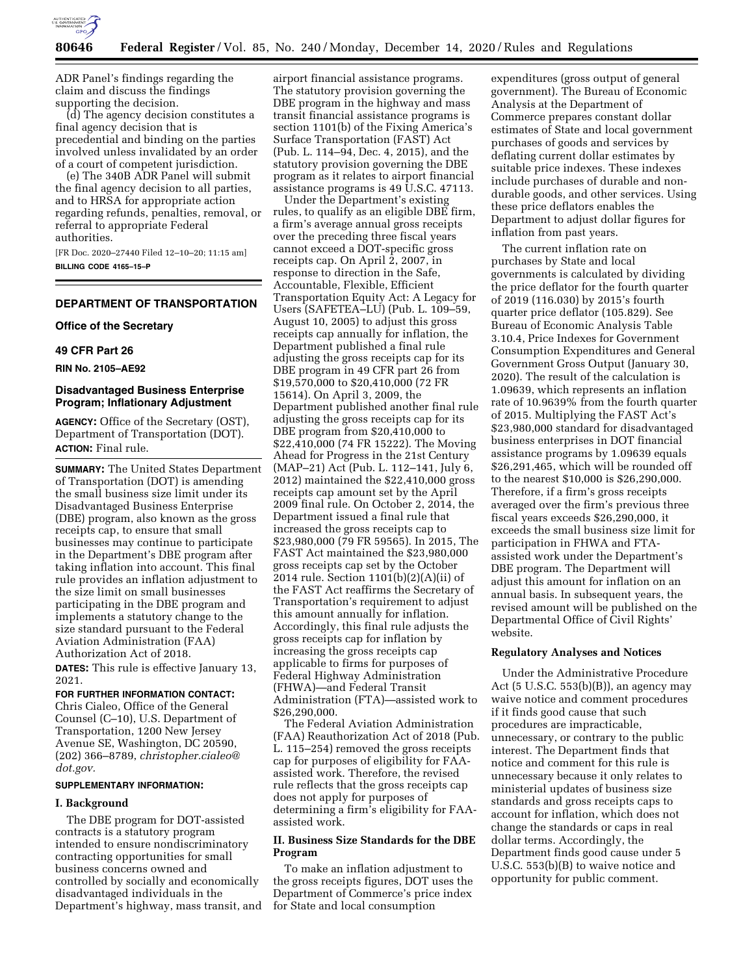

ADR Panel's findings regarding the claim and discuss the findings supporting the decision.

(d) The agency decision constitutes a final agency decision that is precedential and binding on the parties involved unless invalidated by an order of a court of competent jurisdiction.

(e) The 340B ADR Panel will submit the final agency decision to all parties, and to HRSA for appropriate action regarding refunds, penalties, removal, or referral to appropriate Federal authorities.

[FR Doc. 2020–27440 Filed 12–10–20; 11:15 am] **BILLING CODE 4165–15–P** 

# **DEPARTMENT OF TRANSPORTATION**

# **Office of the Secretary**

## **49 CFR Part 26**

**RIN No. 2105–AE92** 

# **Disadvantaged Business Enterprise Program; Inflationary Adjustment**

**AGENCY:** Office of the Secretary (OST), Department of Transportation (DOT). **ACTION:** Final rule.

**SUMMARY:** The United States Department of Transportation (DOT) is amending the small business size limit under its Disadvantaged Business Enterprise (DBE) program, also known as the gross receipts cap, to ensure that small businesses may continue to participate in the Department's DBE program after taking inflation into account. This final rule provides an inflation adjustment to the size limit on small businesses participating in the DBE program and implements a statutory change to the size standard pursuant to the Federal Aviation Administration (FAA) Authorization Act of 2018.

**DATES:** This rule is effective January 13, 2021.

#### **FOR FURTHER INFORMATION CONTACT:**

Chris Cialeo, Office of the General Counsel (C–10), U.S. Department of Transportation, 1200 New Jersey Avenue SE, Washington, DC 20590, (202) 366–8789, *[christopher.cialeo@](mailto:christopher.cialeo@dot.gov) [dot.gov.](mailto:christopher.cialeo@dot.gov)* 

## **SUPPLEMENTARY INFORMATION:**

#### **I. Background**

The DBE program for DOT-assisted contracts is a statutory program intended to ensure nondiscriminatory contracting opportunities for small business concerns owned and controlled by socially and economically disadvantaged individuals in the Department's highway, mass transit, and

airport financial assistance programs. The statutory provision governing the DBE program in the highway and mass transit financial assistance programs is section 1101(b) of the Fixing America's Surface Transportation (FAST) Act (Pub. L. 114–94, Dec. 4, 2015), and the statutory provision governing the DBE program as it relates to airport financial assistance programs is 49 U.S.C. 47113.

Under the Department's existing rules, to qualify as an eligible DBE firm, a firm's average annual gross receipts over the preceding three fiscal years cannot exceed a DOT-specific gross receipts cap. On April 2, 2007, in response to direction in the Safe, Accountable, Flexible, Efficient Transportation Equity Act: A Legacy for Users (SAFETEA–LU) (Pub. L. 109–59, August 10, 2005) to adjust this gross receipts cap annually for inflation, the Department published a final rule adjusting the gross receipts cap for its DBE program in 49 CFR part 26 from \$19,570,000 to \$20,410,000 (72 FR 15614). On April 3, 2009, the Department published another final rule adjusting the gross receipts cap for its DBE program from \$20,410,000 to \$22,410,000 (74 FR 15222). The Moving Ahead for Progress in the 21st Century (MAP–21) Act (Pub. L. 112–141, July 6, 2012) maintained the \$22,410,000 gross receipts cap amount set by the April 2009 final rule. On October 2, 2014, the Department issued a final rule that increased the gross receipts cap to \$23,980,000 (79 FR 59565). In 2015, The FAST Act maintained the \$23,980,000 gross receipts cap set by the October 2014 rule. Section 1101(b)(2)(A)(ii) of the FAST Act reaffirms the Secretary of Transportation's requirement to adjust this amount annually for inflation. Accordingly, this final rule adjusts the gross receipts cap for inflation by increasing the gross receipts cap applicable to firms for purposes of Federal Highway Administration (FHWA)—and Federal Transit Administration (FTA)—assisted work to \$26,290,000.

The Federal Aviation Administration (FAA) Reauthorization Act of 2018 (Pub. L. 115–254) removed the gross receipts cap for purposes of eligibility for FAAassisted work. Therefore, the revised rule reflects that the gross receipts cap does not apply for purposes of determining a firm's eligibility for FAAassisted work.

# **II. Business Size Standards for the DBE Program**

To make an inflation adjustment to the gross receipts figures, DOT uses the Department of Commerce's price index for State and local consumption

expenditures (gross output of general government). The Bureau of Economic Analysis at the Department of Commerce prepares constant dollar estimates of State and local government purchases of goods and services by deflating current dollar estimates by suitable price indexes. These indexes include purchases of durable and nondurable goods, and other services. Using these price deflators enables the Department to adjust dollar figures for inflation from past years.

The current inflation rate on purchases by State and local governments is calculated by dividing the price deflator for the fourth quarter of 2019 (116.030) by 2015's fourth quarter price deflator (105.829). See Bureau of Economic Analysis Table 3.10.4, Price Indexes for Government Consumption Expenditures and General Government Gross Output (January 30, 2020). The result of the calculation is 1.09639, which represents an inflation rate of 10.9639% from the fourth quarter of 2015. Multiplying the FAST Act's \$23,980,000 standard for disadvantaged business enterprises in DOT financial assistance programs by 1.09639 equals \$26,291,465, which will be rounded off to the nearest \$10,000 is \$26,290,000. Therefore, if a firm's gross receipts averaged over the firm's previous three fiscal years exceeds \$26,290,000, it exceeds the small business size limit for participation in FHWA and FTAassisted work under the Department's DBE program. The Department will adjust this amount for inflation on an annual basis. In subsequent years, the revised amount will be published on the Departmental Office of Civil Rights' website.

### **Regulatory Analyses and Notices**

Under the Administrative Procedure Act (5 U.S.C. 553(b)(B)), an agency may waive notice and comment procedures if it finds good cause that such procedures are impracticable, unnecessary, or contrary to the public interest. The Department finds that notice and comment for this rule is unnecessary because it only relates to ministerial updates of business size standards and gross receipts caps to account for inflation, which does not change the standards or caps in real dollar terms. Accordingly, the Department finds good cause under 5 U.S.C. 553(b)(B) to waive notice and opportunity for public comment.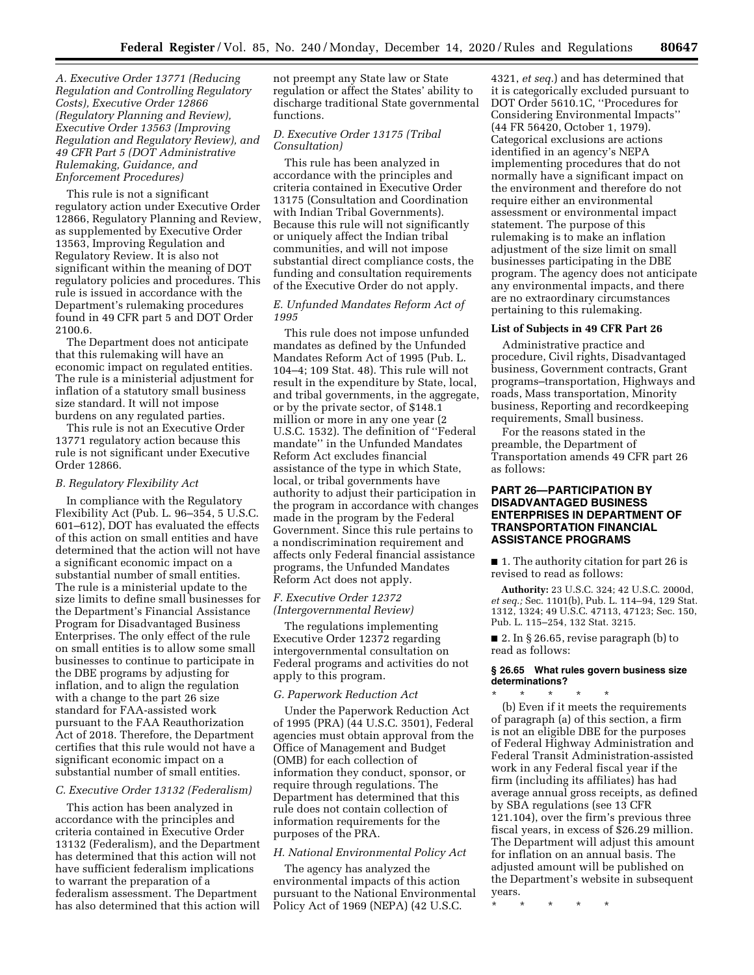*A. Executive Order 13771 (Reducing Regulation and Controlling Regulatory Costs), Executive Order 12866 (Regulatory Planning and Review), Executive Order 13563 (Improving Regulation and Regulatory Review), and 49 CFR Part 5 (DOT Administrative Rulemaking, Guidance, and Enforcement Procedures)* 

This rule is not a significant regulatory action under Executive Order 12866, Regulatory Planning and Review, as supplemented by Executive Order 13563, Improving Regulation and Regulatory Review. It is also not significant within the meaning of DOT regulatory policies and procedures. This rule is issued in accordance with the Department's rulemaking procedures found in 49 CFR part 5 and DOT Order 2100.6.

The Department does not anticipate that this rulemaking will have an economic impact on regulated entities. The rule is a ministerial adjustment for inflation of a statutory small business size standard. It will not impose burdens on any regulated parties.

This rule is not an Executive Order 13771 regulatory action because this rule is not significant under Executive Order 12866.

#### *B. Regulatory Flexibility Act*

In compliance with the Regulatory Flexibility Act (Pub. L. 96–354, 5 U.S.C. 601–612), DOT has evaluated the effects of this action on small entities and have determined that the action will not have a significant economic impact on a substantial number of small entities. The rule is a ministerial update to the size limits to define small businesses for the Department's Financial Assistance Program for Disadvantaged Business Enterprises. The only effect of the rule on small entities is to allow some small businesses to continue to participate in the DBE programs by adjusting for inflation, and to align the regulation with a change to the part 26 size standard for FAA-assisted work pursuant to the FAA Reauthorization Act of 2018. Therefore, the Department certifies that this rule would not have a significant economic impact on a substantial number of small entities.

#### *C. Executive Order 13132 (Federalism)*

This action has been analyzed in accordance with the principles and criteria contained in Executive Order 13132 (Federalism), and the Department has determined that this action will not have sufficient federalism implications to warrant the preparation of a federalism assessment. The Department has also determined that this action will

not preempt any State law or State regulation or affect the States' ability to discharge traditional State governmental functions.

# *D. Executive Order 13175 (Tribal Consultation)*

This rule has been analyzed in accordance with the principles and criteria contained in Executive Order 13175 (Consultation and Coordination with Indian Tribal Governments). Because this rule will not significantly or uniquely affect the Indian tribal communities, and will not impose substantial direct compliance costs, the funding and consultation requirements of the Executive Order do not apply.

## *E. Unfunded Mandates Reform Act of 1995*

This rule does not impose unfunded mandates as defined by the Unfunded Mandates Reform Act of 1995 (Pub. L. 104–4; 109 Stat. 48). This rule will not result in the expenditure by State, local, and tribal governments, in the aggregate, or by the private sector, of \$148.1 million or more in any one year (2 U.S.C. 1532). The definition of ''Federal mandate'' in the Unfunded Mandates Reform Act excludes financial assistance of the type in which State, local, or tribal governments have authority to adjust their participation in the program in accordance with changes made in the program by the Federal Government. Since this rule pertains to a nondiscrimination requirement and affects only Federal financial assistance programs, the Unfunded Mandates Reform Act does not apply.

## *F. Executive Order 12372 (Intergovernmental Review)*

The regulations implementing Executive Order 12372 regarding intergovernmental consultation on Federal programs and activities do not apply to this program.

#### *G. Paperwork Reduction Act*

Under the Paperwork Reduction Act of 1995 (PRA) (44 U.S.C. 3501), Federal agencies must obtain approval from the Office of Management and Budget (OMB) for each collection of information they conduct, sponsor, or require through regulations. The Department has determined that this rule does not contain collection of information requirements for the purposes of the PRA.

#### *H. National Environmental Policy Act*

The agency has analyzed the environmental impacts of this action pursuant to the National Environmental Policy Act of 1969 (NEPA) (42 U.S.C.

4321, *et seq.*) and has determined that it is categorically excluded pursuant to DOT Order 5610.1C, ''Procedures for Considering Environmental Impacts'' (44 FR 56420, October 1, 1979). Categorical exclusions are actions identified in an agency's NEPA implementing procedures that do not normally have a significant impact on the environment and therefore do not require either an environmental assessment or environmental impact statement. The purpose of this rulemaking is to make an inflation adjustment of the size limit on small businesses participating in the DBE program. The agency does not anticipate any environmental impacts, and there are no extraordinary circumstances pertaining to this rulemaking.

## **List of Subjects in 49 CFR Part 26**

Administrative practice and procedure, Civil rights, Disadvantaged business, Government contracts, Grant programs–transportation, Highways and roads, Mass transportation, Minority business, Reporting and recordkeeping requirements, Small business.

For the reasons stated in the preamble, the Department of Transportation amends 49 CFR part 26 as follows:

# **PART 26—PARTICIPATION BY DISADVANTAGED BUSINESS ENTERPRISES IN DEPARTMENT OF TRANSPORTATION FINANCIAL ASSISTANCE PROGRAMS**

■ 1. The authority citation for part 26 is revised to read as follows:

**Authority:** 23 U.S.C. 324; 42 U.S.C. 2000d, *et seq.;* Sec. 1101(b), Pub. L. 114–94, 129 Stat. 1312, 1324; 49 U.S.C. 47113, 47123; Sec. 150, Pub. L. 115–254, 132 Stat. 3215.

■ 2. In § 26.65, revise paragraph (b) to read as follows:

#### **§ 26.65 What rules govern business size determinations?**   $*$  \*

(b) Even if it meets the requirements of paragraph (a) of this section, a firm is not an eligible DBE for the purposes of Federal Highway Administration and Federal Transit Administration-assisted work in any Federal fiscal year if the firm (including its affiliates) has had average annual gross receipts, as defined by SBA regulations (see 13 CFR 121.104), over the firm's previous three fiscal years, in excess of \$26.29 million. The Department will adjust this amount for inflation on an annual basis. The adjusted amount will be published on the Department's website in subsequent years.

\* \* \* \* \*